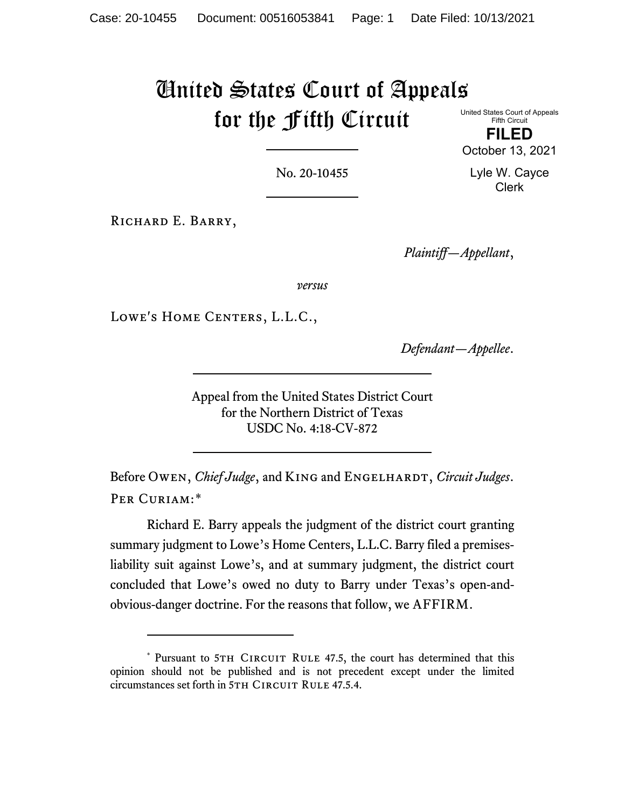# United States Court of Appeals for the Fifth Circuit

United States Court of Appeals Fifth Circuit **FILED**

October 13, 2021

Lyle W. Cayce Clerk

No. 20-10455

RICHARD E. BARRY,

*Plaintiff—Appellant*,

*versus*

Lowe's Home Centers, L.L.C.,

*Defendant—Appellee*.

Appeal from the United States District Court for the Northern District of Texas USDC No. 4:18-CV-872

Before Owen, *Chief Judge*, and King and Engelhardt, *Circuit Judges*. PER CURIAM:[\\*](#page-0-0)

Richard E. Barry appeals the judgment of the district court granting summary judgment to Lowe's Home Centers, L.L.C. Barry filed a premisesliability suit against Lowe's, and at summary judgment, the district court concluded that Lowe's owed no duty to Barry under Texas's open-andobvious-danger doctrine. For the reasons that follow, we AFFIRM.

<span id="page-0-0"></span><sup>\*</sup> Pursuant to 5TH CIRCUIT RULE 47.5, the court has determined that this opinion should not be published and is not precedent except under the limited circumstances set forth in 5TH CIRCUIT RULE 47.5.4.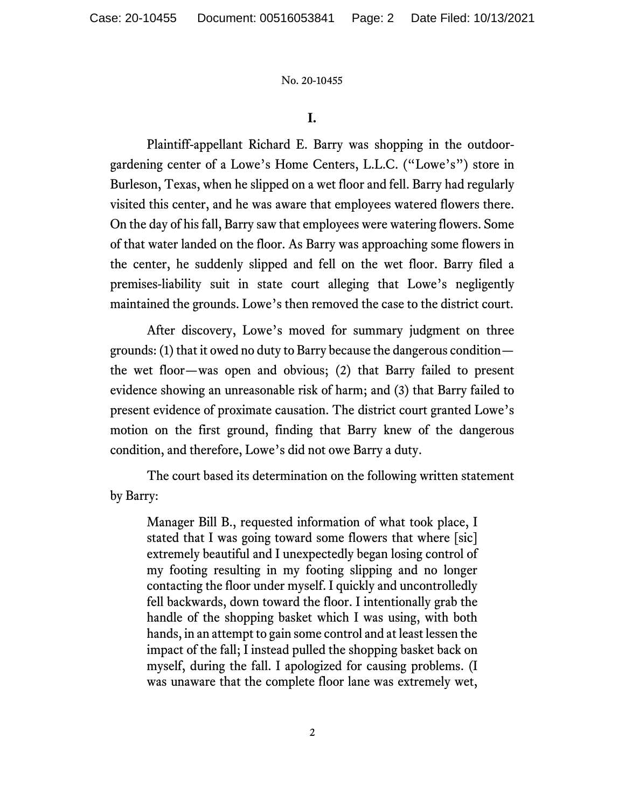### **I.**

Plaintiff-appellant Richard E. Barry was shopping in the outdoorgardening center of a Lowe's Home Centers, L.L.C. ("Lowe's") store in Burleson, Texas, when he slipped on a wet floor and fell. Barry had regularly visited this center, and he was aware that employees watered flowers there. On the day of his fall, Barry saw that employees were watering flowers. Some of that water landed on the floor. As Barry was approaching some flowers in the center, he suddenly slipped and fell on the wet floor. Barry filed a premises-liability suit in state court alleging that Lowe's negligently maintained the grounds. Lowe's then removed the case to the district court.

After discovery, Lowe's moved for summary judgment on three grounds: (1) that it owed no duty to Barry because the dangerous condition the wet floor—was open and obvious; (2) that Barry failed to present evidence showing an unreasonable risk of harm; and (3) that Barry failed to present evidence of proximate causation. The district court granted Lowe's motion on the first ground, finding that Barry knew of the dangerous condition, and therefore, Lowe's did not owe Barry a duty.

The court based its determination on the following written statement by Barry:

Manager Bill B., requested information of what took place, I stated that I was going toward some flowers that where [sic] extremely beautiful and I unexpectedly began losing control of my footing resulting in my footing slipping and no longer contacting the floor under myself. I quickly and uncontrolledly fell backwards, down toward the floor. I intentionally grab the handle of the shopping basket which I was using, with both hands, in an attempt to gain some control and at least lessen the impact of the fall; I instead pulled the shopping basket back on myself, during the fall. I apologized for causing problems. (I was unaware that the complete floor lane was extremely wet,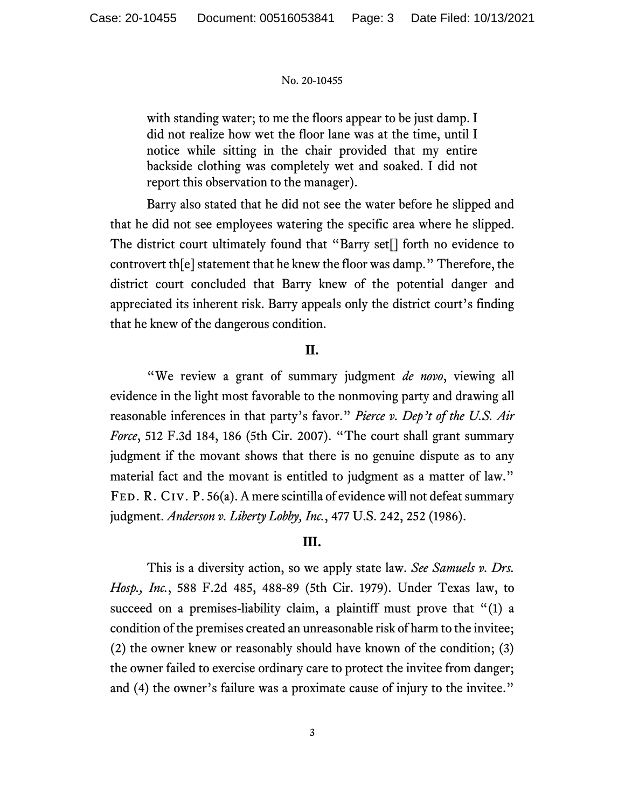with standing water; to me the floors appear to be just damp. I did not realize how wet the floor lane was at the time, until I notice while sitting in the chair provided that my entire backside clothing was completely wet and soaked. I did not report this observation to the manager).

Barry also stated that he did not see the water before he slipped and that he did not see employees watering the specific area where he slipped. The district court ultimately found that "Barry set[] forth no evidence to controvert th[e] statement that he knew the floor was damp." Therefore, the district court concluded that Barry knew of the potential danger and appreciated its inherent risk. Barry appeals only the district court's finding that he knew of the dangerous condition.

# **II.**

"We review a grant of summary judgment *de novo*, viewing all evidence in the light most favorable to the nonmoving party and drawing all reasonable inferences in that party's favor." *Pierce v. Dep't of the U.S. Air Force*, 512 F.3d 184, 186 (5th Cir. 2007). "The court shall grant summary judgment if the movant shows that there is no genuine dispute as to any material fact and the movant is entitled to judgment as a matter of law." FED. R. CIV. P. 56(a). A mere scintilla of evidence will not defeat summary judgment. *Anderson v. Liberty Lobby, Inc.*, 477 U.S. 242, 252 (1986).

# **III.**

This is a diversity action, so we apply state law. *See Samuels v. Drs. Hosp., Inc.*, 588 F.2d 485, 488-89 (5th Cir. 1979). Under Texas law, to succeed on a premises-liability claim, a plaintiff must prove that "(1) a condition of the premises created an unreasonable risk of harm to the invitee; (2) the owner knew or reasonably should have known of the condition; (3) the owner failed to exercise ordinary care to protect the invitee from danger; and (4) the owner's failure was a proximate cause of injury to the invitee."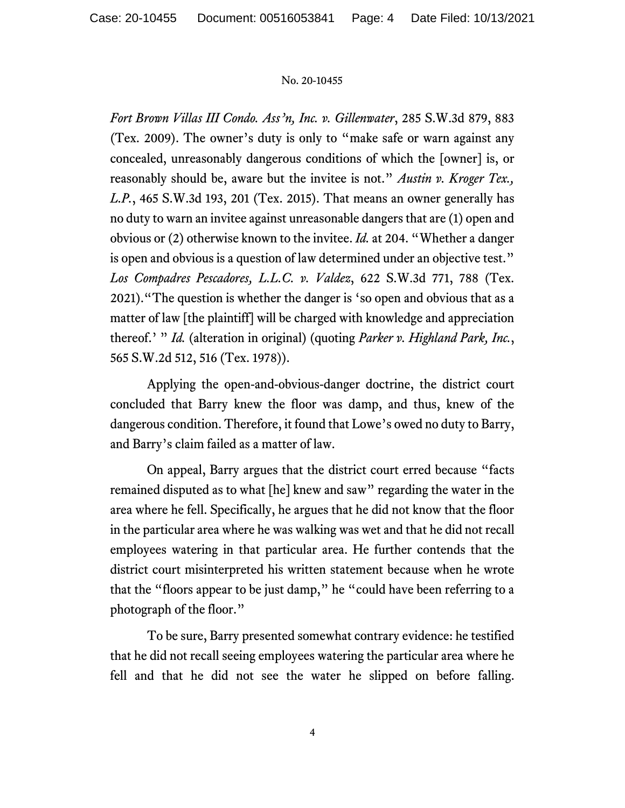*Fort Brown Villas III Condo. Ass'n, Inc. v. Gillenwater*, 285 S.W.3d 879, 883 (Tex. 2009). The owner's duty is only to "make safe or warn against any concealed, unreasonably dangerous conditions of which the [owner] is, or reasonably should be, aware but the invitee is not." *Austin v. Kroger Tex., L.P.*, 465 S.W.3d 193, 201 (Tex. 2015). That means an owner generally has no duty to warn an invitee against unreasonable dangers that are (1) open and obvious or (2) otherwise known to the invitee. *Id.* at 204. "Whether a danger is open and obvious is a question of law determined under an objective test." *Los Compadres Pescadores, L.L.C. v. Valdez*, 622 S.W.3d 771, 788 (Tex. 2021)."The question is whether the danger is 'so open and obvious that as a matter of law [the plaintiff] will be charged with knowledge and appreciation thereof.' " *Id.* (alteration in original) (quoting *Parker v. Highland Park, Inc.*, 565 S.W.2d 512, 516 (Tex. 1978)).

Applying the open-and-obvious-danger doctrine, the district court concluded that Barry knew the floor was damp, and thus, knew of the dangerous condition. Therefore, it found that Lowe's owed no duty to Barry, and Barry's claim failed as a matter of law.

On appeal, Barry argues that the district court erred because "facts remained disputed as to what [he] knew and saw" regarding the water in the area where he fell. Specifically, he argues that he did not know that the floor in the particular area where he was walking was wet and that he did not recall employees watering in that particular area. He further contends that the district court misinterpreted his written statement because when he wrote that the "floors appear to be just damp," he "could have been referring to a photograph of the floor."

To be sure, Barry presented somewhat contrary evidence: he testified that he did not recall seeing employees watering the particular area where he fell and that he did not see the water he slipped on before falling.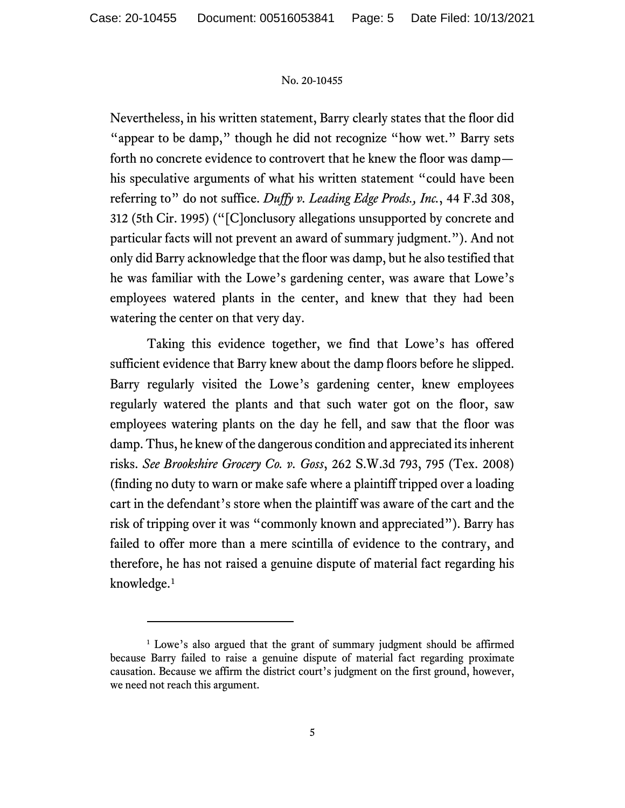Nevertheless, in his written statement, Barry clearly states that the floor did "appear to be damp," though he did not recognize "how wet." Barry sets forth no concrete evidence to controvert that he knew the floor was damp his speculative arguments of what his written statement "could have been referring to" do not suffice. *Duffy v. Leading Edge Prods., Inc.*, 44 F.3d 308, 312 (5th Cir. 1995) ("[C]onclusory allegations unsupported by concrete and particular facts will not prevent an award of summary judgment."). And not only did Barry acknowledge that the floor was damp, but he also testified that he was familiar with the Lowe's gardening center, was aware that Lowe's employees watered plants in the center, and knew that they had been watering the center on that very day.

Taking this evidence together, we find that Lowe's has offered sufficient evidence that Barry knew about the damp floors before he slipped. Barry regularly visited the Lowe's gardening center, knew employees regularly watered the plants and that such water got on the floor, saw employees watering plants on the day he fell, and saw that the floor was damp. Thus, he knew of the dangerous condition and appreciated its inherent risks. *See Brookshire Grocery Co. v. Goss*, 262 S.W.3d 793, 795 (Tex. 2008) (finding no duty to warn or make safe where a plaintiff tripped over a loading cart in the defendant's store when the plaintiff was aware of the cart and the risk of tripping over it was "commonly known and appreciated"). Barry has failed to offer more than a mere scintilla of evidence to the contrary, and therefore, he has not raised a genuine dispute of material fact regarding his knowledge.<sup>[1](#page-4-0)</sup>

<span id="page-4-0"></span><sup>&</sup>lt;sup>1</sup> Lowe's also argued that the grant of summary judgment should be affirmed because Barry failed to raise a genuine dispute of material fact regarding proximate causation. Because we affirm the district court's judgment on the first ground, however, we need not reach this argument.